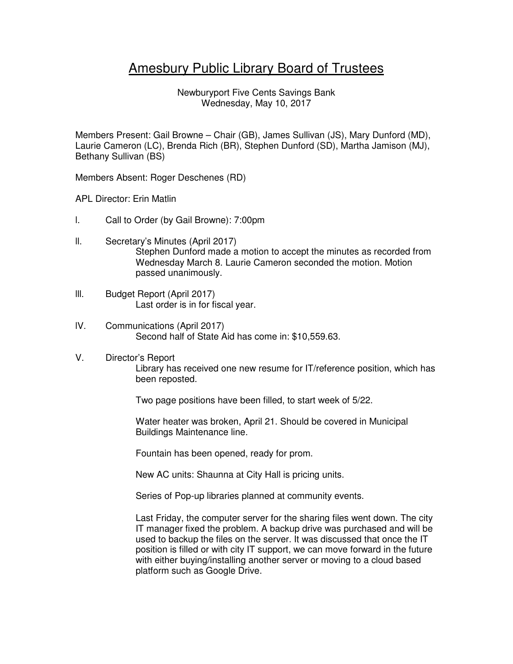# Amesbury Public Library Board of Trustees

Newburyport Five Cents Savings Bank Wednesday, May 10, 2017

Members Present: Gail Browne – Chair (GB), James Sullivan (JS), Mary Dunford (MD), Laurie Cameron (LC), Brenda Rich (BR), Stephen Dunford (SD), Martha Jamison (MJ), Bethany Sullivan (BS)

Members Absent: Roger Deschenes (RD)

APL Director: Erin Matlin

- l. Call to Order (by Gail Browne): 7:00pm
- ll. Secretary's Minutes (April 2017) Stephen Dunford made a motion to accept the minutes as recorded from Wednesday March 8. Laurie Cameron seconded the motion. Motion passed unanimously.
- lll. Budget Report (April 2017) Last order is in for fiscal year.
- lV. Communications (April 2017) Second half of State Aid has come in: \$10,559.63.
- V. Director's Report

Library has received one new resume for IT/reference position, which has been reposted.

Two page positions have been filled, to start week of 5/22.

Water heater was broken, April 21. Should be covered in Municipal Buildings Maintenance line.

Fountain has been opened, ready for prom.

New AC units: Shaunna at City Hall is pricing units.

Series of Pop-up libraries planned at community events.

Last Friday, the computer server for the sharing files went down. The city IT manager fixed the problem. A backup drive was purchased and will be used to backup the files on the server. It was discussed that once the IT position is filled or with city IT support, we can move forward in the future with either buying/installing another server or moving to a cloud based platform such as Google Drive.